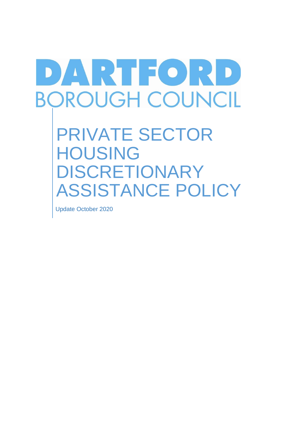# DARTIORD **BOROUGH COUNCIL**

PRIVATE SECTOR HOUSING DISCRETIONARY ASSISTANCE POLICY

Update October 2020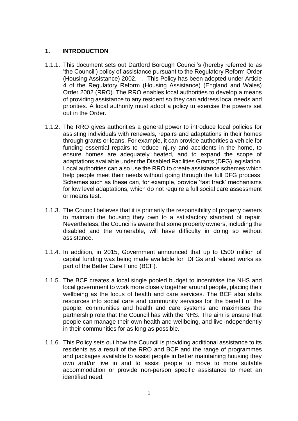# **1. INTRODUCTION**

- 1.1.1. This document sets out Dartford Borough Council's (hereby referred to as 'the Council') policy of assistance pursuant to the Regulatory Reform Order (Housing Assistance) 2002. . This Policy has been adopted under Article 4 of the Regulatory Reform (Housing Assistance) (England and Wales) Order 2002 (RRO). The RRO enables local authorities to develop a means of providing assistance to any resident so they can address local needs and priorities. A local authority must adopt a policy to exercise the powers set out in the Order.
- 1.1.2. The RRO gives authorities a general power to introduce local policies for assisting individuals with renewals, repairs and adaptations in their homes through grants or loans. For example, it can provide authorities a vehicle for funding essential repairs to reduce injury and accidents in the home, to ensure homes are adequately heated, and to expand the scope of adaptations available under the Disabled Facilities Grants (DFG) legislation. Local authorities can also use the RRO to create assistance schemes which help people meet their needs without going through the full DFG process. Schemes such as these can, for example, provide 'fast track' mechanisms for low level adaptations, which do not require a full social care assessment or means test.
- 1.1.3. The Council believes that it is primarily the responsibility of property owners to maintain the housing they own to a satisfactory standard of repair. Nevertheless, the Council is aware that some property owners, including the disabled and the vulnerable, will have difficulty in doing so without assistance.
- 1.1.4. In addition, in 2015, Government announced that up to £500 million of capital funding was being made available for DFGs and related works as part of the Better Care Fund (BCF).
- 1.1.5. The BCF creates a local single pooled budget to incentivise the NHS and local government to work more closely together around people, placing their wellbeing as the focus of health and care services. The BCF also shifts resources into social care and community services for the benefit of the people, communities and health and care systems and maximises the partnership role that the Council has with the NHS. The aim is ensure that people can manage their own health and wellbeing, and live independently in their communities for as long as possible.
- 1.1.6. This Policy sets out how the Council is providing additional assistance to its residents as a result of the RRO and BCF and the range of programmes and packages available to assist people in better maintaining housing they own and/or live in and to assist people to move to more suitable accommodation or provide non-person specific assistance to meet an identified need.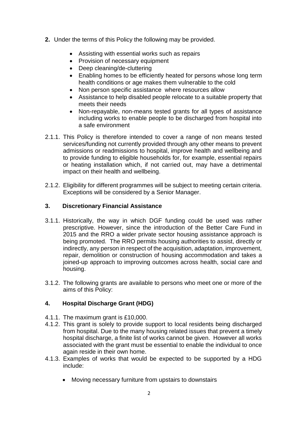- **2.** Under the terms of this Policy the following may be provided.
	- Assisting with essential works such as repairs
	- Provision of necessary equipment
	- Deep cleaning/de-cluttering
	- Enabling homes to be efficiently heated for persons whose long term health conditions or age makes them vulnerable to the cold
	- Non person specific assistance where resources allow
	- Assistance to help disabled people relocate to a suitable property that meets their needs
	- Non-repayable, non-means tested grants for all types of assistance including works to enable people to be discharged from hospital into a safe environment
- 2.1.1. This Policy is therefore intended to cover a range of non means tested services/funding not currently provided through any other means to prevent admissions or readmissions to hospital, improve health and wellbeing and to provide funding to eligible households for, for example, essential repairs or heating installation which, if not carried out, may have a detrimental impact on their health and wellbeing.
- 2.1.2. Eligibility for different programmes will be subject to meeting certain criteria. Exceptions will be considered by a Senior Manager.

# **3. Discretionary Financial Assistance**

- 3.1.1. Historically, the way in which DGF funding could be used was rather prescriptive. However, since the introduction of the Better Care Fund in 2015 and the RRO a wider private sector housing assistance approach is being promoted. The RRO permits housing authorities to assist, directly or indirectly, any person in respect of the acquisition, adaptation, improvement, repair, demolition or construction of housing accommodation and takes a joined-up approach to improving outcomes across health, social care and housing.
- 3.1.2. The following grants are available to persons who meet one or more of the aims of this Policy:

# **4. Hospital Discharge Grant (HDG)**

- 4.1.1. The maximum grant is £10,000.
- 4.1.2. This grant is solely to provide support to local residents being discharged from hospital. Due to the many housing related issues that prevent a timely hospital discharge, a finite list of works cannot be given. However all works associated with the grant must be essential to enable the individual to once again reside in their own home.
- 4.1.3. Examples of works that would be expected to be supported by a HDG include:
	- Moving necessary furniture from upstairs to downstairs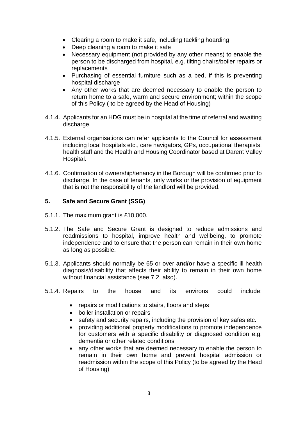- Clearing a room to make it safe, including tackling hoarding
- Deep cleaning a room to make it safe
- Necessary equipment (not provided by any other means) to enable the person to be discharged from hospital, e.g. tilting chairs/boiler repairs or replacements
- Purchasing of essential furniture such as a bed, if this is preventing hospital discharge
- Any other works that are deemed necessary to enable the person to return home to a safe, warm and secure environment; within the scope of this Policy ( to be agreed by the Head of Housing)
- 4.1.4. Applicants for an HDG must be in hospital at the time of referral and awaiting discharge.
- 4.1.5. External organisations can refer applicants to the Council for assessment including local hospitals etc., care navigators, GPs, occupational therapists, health staff and the Health and Housing Coordinator based at Darent Valley Hospital.
- 4.1.6. Confirmation of ownership/tenancy in the Borough will be confirmed prior to discharge. In the case of tenants, only works or the provision of equipment that is not the responsibility of the landlord will be provided.

# **5. Safe and Secure Grant (SSG)**

- 5.1.1. The maximum grant is £10,000.
- 5.1.2. The Safe and Secure Grant is designed to reduce admissions and readmissions to hospital, improve health and wellbeing, to promote independence and to ensure that the person can remain in their own home as long as possible.
- 5.1.3. Applicants should normally be 65 or over **and/or** have a specific ill health diagnosis/disability that affects their ability to remain in their own home without financial assistance (see 7.2. also).
- 5.1.4. Repairs to the house and its environs could include:
	- repairs or modifications to stairs, floors and steps
	- boiler installation or repairs
	- safety and security repairs, including the provision of key safes etc.
	- providing additional property modifications to promote independence for customers with a specific disability or diagnosed condition e.g. dementia or other related conditions
	- any other works that are deemed necessary to enable the person to remain in their own home and prevent hospital admission or readmission within the scope of this Policy (to be agreed by the Head of Housing)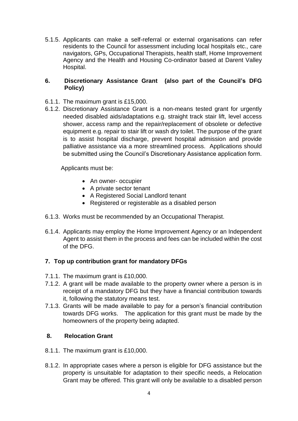5.1.5. Applicants can make a self-referral or external organisations can refer residents to the Council for assessment including local hospitals etc., care navigators, GPs, Occupational Therapists, health staff, Home Improvement Agency and the Health and Housing Co-ordinator based at Darent Valley Hospital.

## **6. Discretionary Assistance Grant (also part of the Council's DFG Policy)**

- 6.1.1. The maximum grant is £15,000.
- 6.1.2. Discretionary Assistance Grant is a non-means tested grant for urgently needed disabled aids/adaptations e.g. straight track stair lift, level access shower, access ramp and the repair/replacement of obsolete or defective equipment e.g. repair to stair lift or wash dry toilet. The purpose of the grant is to assist hospital discharge, prevent hospital admission and provide palliative assistance via a more streamlined process. Applications should be submitted using the Council's Discretionary Assistance application form.

Applicants must be:

- An owner- occupier
- A private sector tenant
- A Registered Social Landlord tenant
- Registered or registerable as a disabled person
- 6.1.3. Works must be recommended by an Occupational Therapist.
- 6.1.4. Applicants may employ the Home Improvement Agency or an Independent Agent to assist them in the process and fees can be included within the cost of the DFG.

# **7. Top up contribution grant for mandatory DFGs**

- 7.1.1. The maximum grant is £10,000.
- 7.1.2. A grant will be made available to the property owner where a person is in receipt of a mandatory DFG but they have a financial contribution towards it, following the statutory means test.
- 7.1.3. Grants will be made available to pay for a person's financial contribution towards DFG works. The application for this grant must be made by the homeowners of the property being adapted.

## **8. Relocation Grant**

- 8.1.1. The maximum grant is £10,000.
- 8.1.2. In appropriate cases where a person is eligible for DFG assistance but the property is unsuitable for adaptation to their specific needs, a Relocation Grant may be offered. This grant will only be available to a disabled person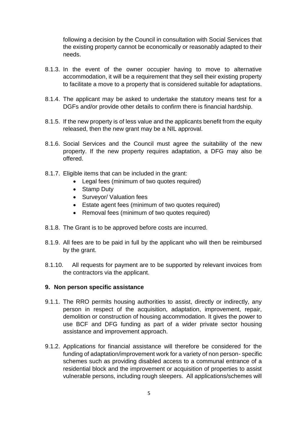following a decision by the Council in consultation with Social Services that the existing property cannot be economically or reasonably adapted to their needs.

- 8.1.3. In the event of the owner occupier having to move to alternative accommodation, it will be a requirement that they sell their existing property to facilitate a move to a property that is considered suitable for adaptations.
- 8.1.4. The applicant may be asked to undertake the statutory means test for a DGFs and/or provide other details to confirm there is financial hardship.
- 8.1.5. If the new property is of less value and the applicants benefit from the equity released, then the new grant may be a NIL approval.
- 8.1.6. Social Services and the Council must agree the suitability of the new property. If the new property requires adaptation, a DFG may also be offered.
- 8.1.7. Eligible items that can be included in the grant:
	- Legal fees (minimum of two quotes required)
	- Stamp Duty
	- Surveyor/ Valuation fees
	- Estate agent fees (minimum of two quotes required)
	- Removal fees (minimum of two quotes required)
- 8.1.8. The Grant is to be approved before costs are incurred.
- 8.1.9. All fees are to be paid in full by the applicant who will then be reimbursed by the grant.
- 8.1.10. All requests for payment are to be supported by relevant invoices from the contractors via the applicant.

## **9. Non person specific assistance**

- 9.1.1. The RRO permits housing authorities to assist, directly or indirectly, any person in respect of the acquisition, adaptation, improvement, repair, demolition or construction of housing accommodation. It gives the power to use BCF and DFG funding as part of a wider private sector housing assistance and improvement approach.
- 9.1.2. Applications for financial assistance will therefore be considered for the funding of adaptation/improvement work for a variety of non person- specific schemes such as providing disabled access to a communal entrance of a residential block and the improvement or acquisition of properties to assist vulnerable persons, including rough sleepers. All applications/schemes will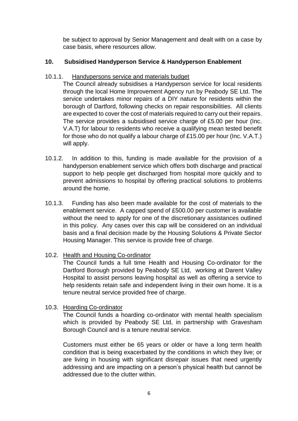be subject to approval by Senior Management and dealt with on a case by case basis, where resources allow.

# **10. Subsidised Handyperson Service & Handyperson Enablement**

# 10.1.1. Handypersons service and materials budget

The Council already subsidises a Handyperson service for local residents through the local Home Improvement Agency run by Peabody SE Ltd. The service undertakes minor repairs of a DIY nature for residents within the borough of Dartford, following checks on repair responsibilities. All clients are expected to cover the cost of materials required to carry out their repairs. The service provides a subsidised service charge of £5.00 per hour (Inc. V.A.T) for labour to residents who receive a qualifying mean tested benefit for those who do not qualify a labour charge of £15.00 per hour (Inc. V.A.T.) will apply.

- 10.1.2. In addition to this, funding is made available for the provision of a handyperson enablement service which offers both discharge and practical support to help people get discharged from hospital more quickly and to prevent admissions to hospital by offering practical solutions to problems around the home.
- 10.1.3. Funding has also been made available for the cost of materials to the enablement service. A capped spend of £500.00 per customer is available without the need to apply for one of the discretionary assistances outlined in this policy. Any cases over this cap will be considered on an individual basis and a final decision made by the Housing Solutions & Private Sector Housing Manager. This service is provide free of charge.

# 10.2. Health and Housing Co-ordinator

The Council funds a full time Health and Housing Co-ordinator for the Dartford Borough provided by Peabody SE Ltd, working at Darent Valley Hospital to assist persons leaving hospital as well as offering a service to help residents retain safe and independent living in their own home. It is a tenure neutral service provided free of charge.

# 10.3. Hoarding Co-ordinator

The Council funds a hoarding co-ordinator with mental health specialism which is provided by Peabody SE Ltd, in partnership with Gravesham Borough Council and is a tenure neutral service.

Customers must either be 65 years or older or have a long term health condition that is being exacerbated by the conditions in which they live; or are living in housing with significant disrepair issues that need urgently addressing and are impacting on a person's physical health but cannot be addressed due to the clutter within.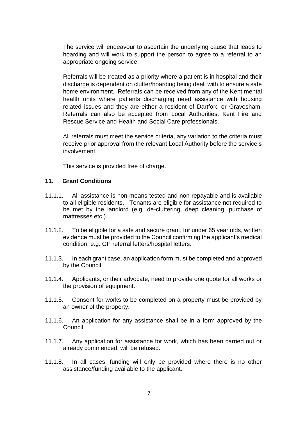The service will endeavour to ascertain the underlying cause that leads to hoarding and will work to support the person to agree to a referral to an appropriate ongoing service.

Referrals will be treated as a priority where a patient is in hospital and their discharge is dependent on clutter/hoarding being dealt with to ensure a safe home environment. Referrals can be received from any of the Kent mental health units where patients discharging need assistance with housing related issues and they are either a resident of Dartford or Gravesham. Referrals can also be accepted from Local Authorities, Kent Fire and Rescue Service and Health and Social Care professionals.

All referrals must meet the service criteria, any variation to the criteria must receive prior approval from the relevant Local Authority before the service's involvement.

This service is provided free of charge.

## **11. Grant Conditions**

- 11.1.1. All assistance is non-means tested and non-repayable and is available to all eligible residents. Tenants are eligible for assistance not required to be met by the landlord (e.g. de-cluttering, deep cleaning, purchase of mattresses etc.).
- 11.1.2. To be eligible for a safe and secure grant, for under 65 year olds, written evidence must be provided to the Council confirming the applicant's medical condition, e.g. GP referral letters/hospital letters.
- 11.1.3. In each grant case, an application form must be completed and approved by the Council.
- 11.1.4. Applicants, or their advocate, need to provide one quote for all works or the provision of equipment.
- 11.1.5. Consent for works to be completed on a property must be provided by an owner of the property.
- 11.1.6. An application for any assistance shall be in a form approved by the Council.
- 11.1.7. Any application for assistance for work, which has been carried out or already commenced, will be refused.
- 11.1.8. In all cases, funding will only be provided where there is no other assistance/funding available to the applicant.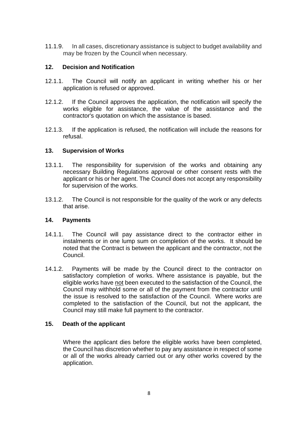11.1.9. In all cases, discretionary assistance is subject to budget availability and may be frozen by the Council when necessary.

## **12. Decision and Notification**

- 12.1.1. The Council will notify an applicant in writing whether his or her application is refused or approved.
- 12.1.2. If the Council approves the application, the notification will specify the works eligible for assistance, the value of the assistance and the contractor's quotation on which the assistance is based.
- 12.1.3. If the application is refused, the notification will include the reasons for refusal.

## **13. Supervision of Works**

- 13.1.1. The responsibility for supervision of the works and obtaining any necessary Building Regulations approval or other consent rests with the applicant or his or her agent. The Council does not accept any responsibility for supervision of the works.
- 13.1.2. The Council is not responsible for the quality of the work or any defects that arise.

## **14. Payments**

- 14.1.1. The Council will pay assistance direct to the contractor either in instalments or in one lump sum on completion of the works. It should be noted that the Contract is between the applicant and the contractor, not the Council.
- 14.1.2. Payments will be made by the Council direct to the contractor on satisfactory completion of works. Where assistance is payable, but the eligible works have not been executed to the satisfaction of the Council, the Council may withhold some or all of the payment from the contractor until the issue is resolved to the satisfaction of the Council. Where works are completed to the satisfaction of the Council, but not the applicant, the Council may still make full payment to the contractor.

## **15. Death of the applicant**

Where the applicant dies before the eligible works have been completed, the Council has discretion whether to pay any assistance in respect of some or all of the works already carried out or any other works covered by the application.